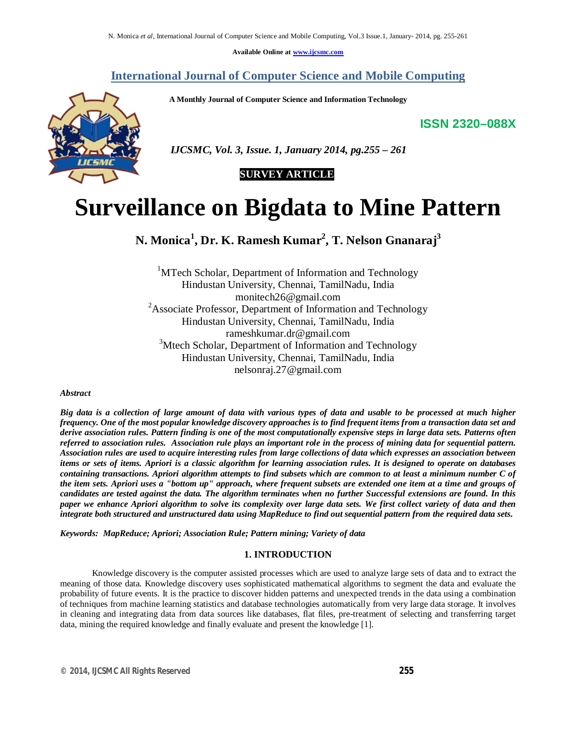**Available Online at www.ijcsmc.com**

## **International Journal of Computer Science and Mobile Computing**

 **A Monthly Journal of Computer Science and Information Technology**

**ISSN 2320–088X**



 *IJCSMC, Vol. 3, Issue. 1, January 2014, pg.255 – 261*

# **SURVEY ARTICLE**

# **Surveillance on Bigdata to Mine Pattern**

**N. Monica<sup>1</sup> , Dr. K. Ramesh Kumar<sup>2</sup> , T. Nelson Gnanaraj<sup>3</sup>**

<sup>1</sup>MTech Scholar, Department of Information and Technology Hindustan University, Chennai, TamilNadu, India monitech26@gmail.com <sup>2</sup>Associate Professor, Department of Information and Technology Hindustan University, Chennai, TamilNadu, India rameshkumar.dr@gmail.com <sup>3</sup>Mtech Scholar, Department of Information and Technology Hindustan University, Chennai, TamilNadu, India nelsonraj.27@gmail.com

#### *Abstract*

*Big data is a collection of large amount of data with various types of data and usable to be processed at much higher frequency. One of the most popular knowledge discovery approaches is to find frequent items from a transaction data set and derive association rules. Pattern finding is one of the most computationally expensive steps in large data sets. Patterns often referred to association rules. Association rule plays an important role in the process of mining data for sequential pattern. Association rules are used to acquire interesting rules from large collections of data which expresses an association between items or sets of items. Apriori is a classic algorithm for learning association rules. It is designed to operate on databases containing transactions. Apriori algorithm attempts to find subsets which are common to at least a minimum number C of the item sets. Apriori uses a "bottom up" approach, where frequent subsets are extended one item at a time and groups of candidates are tested against the data. The algorithm terminates when no further Successful extensions are found. In this paper we enhance Apriori algorithm to solve its complexity over large data sets. We first collect variety of data and then integrate both structured and unstructured data using MapReduce to find out sequential pattern from the required data sets.*

*Keywords: MapReduce; Apriori; Association Rule; Pattern mining; Variety of data*

## **1. INTRODUCTION**

Knowledge discovery is the computer assisted processes which are used to analyze large sets of data and to extract the meaning of those data. Knowledge discovery uses sophisticated mathematical algorithms to segment the data and evaluate the probability of future events. It is the practice to discover hidden patterns and unexpected trends in the data using a combination of techniques from machine learning statistics and database technologies automatically from very large data storage. It involves in cleaning and integrating data from data sources like databases, flat files, pre-treatment of selecting and transferring target data, mining the required knowledge and finally evaluate and present the knowledge [1].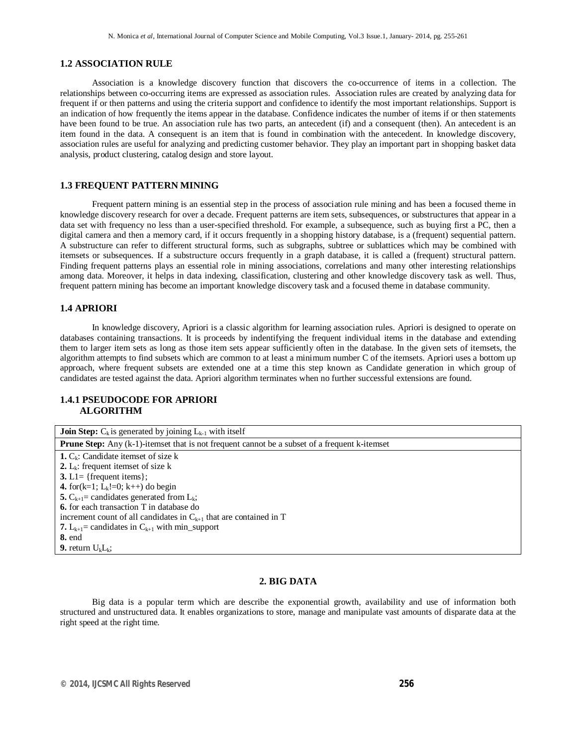#### **1.2 ASSOCIATION RULE**

Association is a knowledge discovery function that discovers the co-occurrence of items in a collection. The relationships between co-occurring items are expressed as association rules. Association rules are created by analyzing data for frequent if or then patterns and using the criteria support and confidence to identify the most important relationships. Support is an indication of how frequently the items appear in the database. Confidence indicates the number of items if or then statements have been found to be true. An association rule has two parts, an antecedent (if) and a consequent (then). An antecedent is an item found in the data. A consequent is an item that is found in combination with the antecedent. In knowledge discovery, association rules are useful for analyzing and predicting customer behavior. They play an important part in shopping basket data analysis, product clustering, catalog design and store layout.

### **1.3 FREQUENT PATTERN MINING**

Frequent pattern mining is an essential step in the process of association rule mining and has been a focused theme in knowledge discovery research for over a decade. Frequent patterns are item sets, subsequences, or substructures that appear in a data set with frequency no less than a user-specified threshold. For example, a subsequence, such as buying first a PC, then a digital camera and then a memory card, if it occurs frequently in a shopping history database, is a (frequent) sequential pattern. A substructure can refer to different structural forms, such as subgraphs, subtree or sublattices which may be combined with itemsets or subsequences. If a substructure occurs frequently in a graph database, it is called a (frequent) structural pattern. Finding frequent patterns plays an essential role in mining associations, correlations and many other interesting relationships among data. Moreover, it helps in data indexing, classification, clustering and other knowledge discovery task as well. Thus, frequent pattern mining has become an important knowledge discovery task and a focused theme in database community.

#### **1.4 APRIORI**

In knowledge discovery, Apriori is a classic algorithm for learning association rules. Apriori is designed to operate on databases containing transactions. It is proceeds by indentifying the frequent individual items in the database and extending them to larger item sets as long as those item sets appear sufficiently often in the database. In the given sets of itemsets, the algorithm attempts to find subsets which are common to at least a minimum number C of the itemsets. Apriori uses a bottom up approach, where frequent subsets are extended one at a time this step known as Candidate generation in which group of candidates are tested against the data. Apriori algorithm terminates when no further successful extensions are found.

## **1.4.1 PSEUDOCODE FOR APRIORI ALGORITHM**

| <b>Join Step:</b> $C_k$ is generated by joining $L_{k-1}$ with itself                                |
|------------------------------------------------------------------------------------------------------|
| <b>Prune Step:</b> Any (k-1)-itemset that is not frequent cannot be a subset of a frequent k-itemset |
| <b>1.</b> $C_k$ : Candidate itemset of size k                                                        |
| 2. $L_k$ : frequent itemset of size k                                                                |
| 3. L1= {frequent items};                                                                             |
| 4. for(k=1; L <sub>k</sub> !=0; k++) do begin                                                        |
| 5. $C_{k+1}$ = candidates generated from $L_k$ ;                                                     |
| <b>6.</b> for each transaction T in database do                                                      |
| increment count of all candidates in $C_{k+1}$ that are contained in T                               |
| 7. $L_{k+1}$ = candidates in $C_{k+1}$ with min_support                                              |
| <b>8.</b> end                                                                                        |
| <b>9.</b> return $U_kL_k$ ;                                                                          |

#### **2. BIG DATA**

Big data is a popular term which are describe the exponential growth, availability and use of information both structured and unstructured data. It enables organizations to store, manage and manipulate vast amounts of disparate data at the right speed at the right time.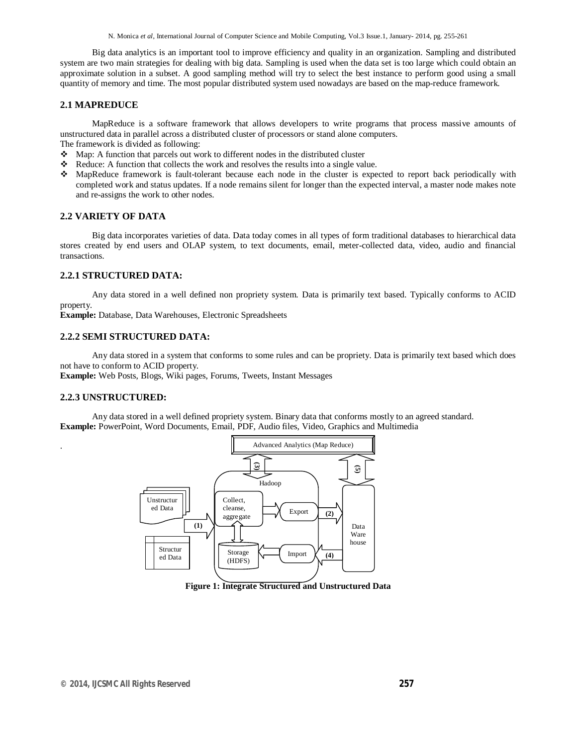Big data analytics is an important tool to improve efficiency and quality in an organization. Sampling and distributed system are two main strategies for dealing with big data. Sampling is used when the data set is too large which could obtain an approximate solution in a subset. A good sampling method will try to select the best instance to perform good using a small quantity of memory and time. The most popular distributed system used nowadays are based on the map-reduce framework.

#### **2.1 MAPREDUCE**

MapReduce is a software framework that allows developers to write programs that process massive amounts of unstructured data in parallel across a distributed cluster of processors or stand alone computers.

The framework is divided as following:

- Map: A function that parcels out work to different nodes in the distributed cluster
- Reduce: A function that collects the work and resolves the results into a single value.
- MapReduce framework is fault-tolerant because each node in the cluster is expected to report back periodically with completed work and status updates. If a node remains silent for longer than the expected interval, a master node makes note and re-assigns the work to other nodes.

#### **2.2 VARIETY OF DATA**

Big data incorporates varieties of data. Data today comes in all types of form traditional databases to hierarchical data stores created by end users and OLAP system, to text documents, email, meter-collected data, video, audio and financial transactions.

## **2.2.1 STRUCTURED DATA:**

Any data stored in a well defined non propriety system. Data is primarily text based. Typically conforms to ACID property.

**Example:** Database, Data Warehouses, Electronic Spreadsheets

## **2.2.2 SEMI STRUCTURED DATA:**

Any data stored in a system that conforms to some rules and can be propriety. Data is primarily text based which does not have to conform to ACID property.

**Example:** Web Posts, Blogs, Wiki pages, Forums, Tweets, Instant Messages

#### **2.2.3 UNSTRUCTURED:**

.

Any data stored in a well defined propriety system. Binary data that conforms mostly to an agreed standard. **Example:** PowerPoint, Word Documents, Email, PDF, Audio files, Video, Graphics and Multimedia



**Figure 1: Integrate Structured and Unstructured Data**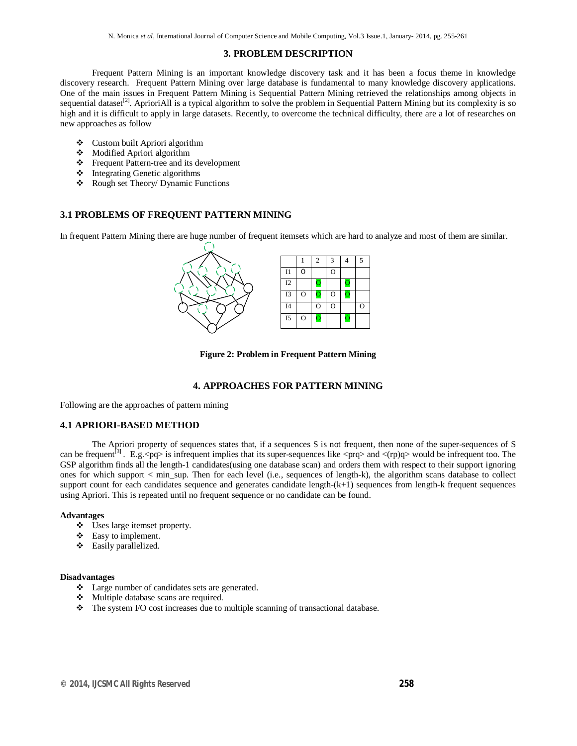## **3. PROBLEM DESCRIPTION**

Frequent Pattern Mining is an important knowledge discovery task and it has been a focus theme in knowledge discovery research. Frequent Pattern Mining over large database is fundamental to many knowledge discovery applications. One of the main issues in Frequent Pattern Mining is Sequential Pattern Mining retrieved the relationships among objects in sequential dataset<sup>[2]</sup>. AprioriAll is a typical algorithm to solve the problem in Sequential Pattern Mining but its complexity is so high and it is difficult to apply in large datasets. Recently, to overcome the technical difficulty, there are a lot of researches on new approaches as follow

- Custom built Apriori algorithm
- Modified Apriori algorithm
- Frequent Pattern-tree and its development
- $\div$  Integrating Genetic algorithms
- Rough set Theory/ Dynamic Functions

## **3.1 PROBLEMS OF FREQUENT PATTERN MINING**

In frequent Pattern Mining there are huge number of frequent itemsets which are hard to analyze and most of them are similar.



**Figure 2: Problem in Frequent Pattern Mining**

## **4. APPROACHES FOR PATTERN MINING**

Following are the approaches of pattern mining

## **4.1 APRIORI-BASED METHOD**

The Apriori property of sequences states that, if a sequences S is not frequent, then none of the super-sequences of S can be frequent<sup>[3]</sup>. E.g.  $\exp$  is infrequent implies that its super-sequences like  $\exp$  and  $\exp$  would be infrequent too. The GSP algorithm finds all the length-1 candidates(using one database scan) and orders them with respect to their support ignoring ones for which support < min\_sup. Then for each level (i.e., sequences of length-k), the algorithm scans database to collect support count for each candidates sequence and generates candidate length-(k+1) sequences from length-k frequent sequences using Apriori. This is repeated until no frequent sequence or no candidate can be found.

#### **Advantages**

- Uses large itemset property.
- Easy to implement.
- Easily parallelized.

#### **Disadvantages**

- Large number of candidates sets are generated.
- Multiple database scans are required.
- The system I/O cost increases due to multiple scanning of transactional database.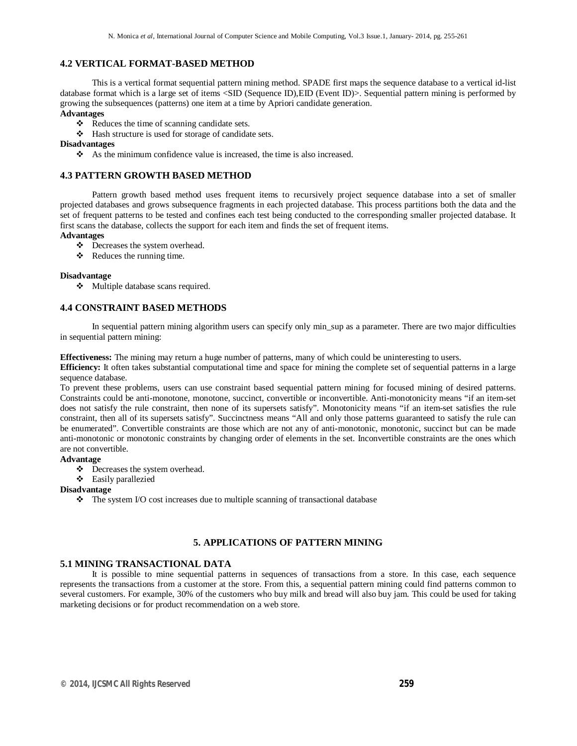## **4.2 VERTICAL FORMAT-BASED METHOD**

This is a vertical format sequential pattern mining method. SPADE first maps the sequence database to a vertical id-list database format which is a large set of items <SID (Sequence ID),EID (Event ID)>. Sequential pattern mining is performed by growing the subsequences (patterns) one item at a time by Apriori candidate generation.

## **Advantages**

- \* Reduces the time of scanning candidate sets.
- Hash structure is used for storage of candidate sets.

## **Disadvantages**

 $\bullet$  As the minimum confidence value is increased, the time is also increased.

## **4.3 PATTERN GROWTH BASED METHOD**

Pattern growth based method uses frequent items to recursively project sequence database into a set of smaller projected databases and grows subsequence fragments in each projected database. This process partitions both the data and the set of frequent patterns to be tested and confines each test being conducted to the corresponding smaller projected database. It first scans the database, collects the support for each item and finds the set of frequent items.

### **Advantages**

- Decreases the system overhead.
- $\triangleleft$  Reduces the running time.

#### **Disadvantage**

Multiple database scans required.

## **4.4 CONSTRAINT BASED METHODS**

In sequential pattern mining algorithm users can specify only min\_sup as a parameter. There are two major difficulties in sequential pattern mining:

**Effectiveness:** The mining may return a huge number of patterns, many of which could be uninteresting to users.

**Efficiency:** It often takes substantial computational time and space for mining the complete set of sequential patterns in a large sequence database.

To prevent these problems, users can use constraint based sequential pattern mining for focused mining of desired patterns. Constraints could be anti-monotone, monotone, succinct, convertible or inconvertible. Anti-monotonicity means "if an item-set does not satisfy the rule constraint, then none of its supersets satisfy". Monotonicity means "if an item-set satisfies the rule constraint, then all of its supersets satisfy". Succinctness means "All and only those patterns guaranteed to satisfy the rule can be enumerated". Convertible constraints are those which are not any of anti-monotonic, monotonic, succinct but can be made anti-monotonic or monotonic constraints by changing order of elements in the set. Inconvertible constraints are the ones which are not convertible.

## **Advantage**

Decreases the system overhead.

Easily parallezied

#### **Disadvantage**

 $\triangle$  The system I/O cost increases due to multiple scanning of transactional database

## **5. APPLICATIONS OF PATTERN MINING**

## **5.1 MINING TRANSACTIONAL DATA**

It is possible to mine sequential patterns in sequences of transactions from a store. In this case, each sequence represents the transactions from a customer at the store. From this, a sequential pattern mining could find patterns common to several customers. For example, 30% of the customers who buy milk and bread will also buy jam. This could be used for taking marketing decisions or for product recommendation on a web store.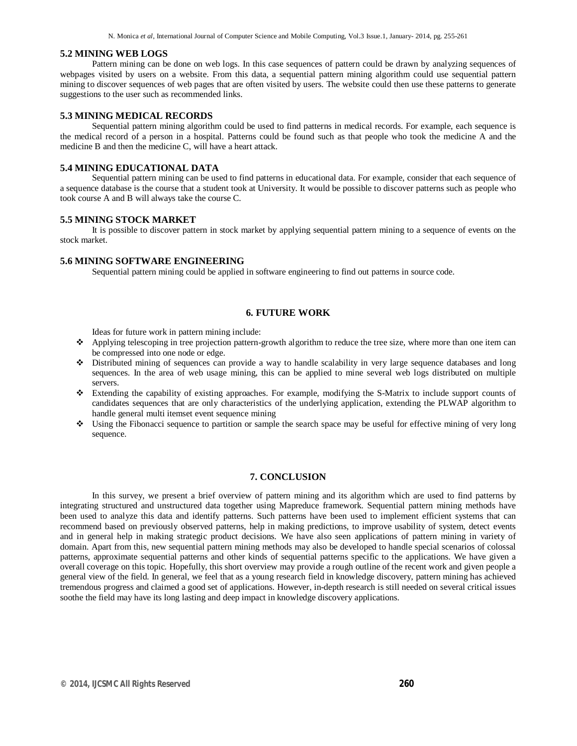N. Monica *et al*, International Journal of Computer Science and Mobile Computing, Vol.3 Issue.1, January- 2014, pg. 255-261

#### **5.2 MINING WEB LOGS**

Pattern mining can be done on web logs. In this case sequences of pattern could be drawn by analyzing sequences of webpages visited by users on a website. From this data, a sequential pattern mining algorithm could use sequential pattern mining to discover sequences of web pages that are often visited by users. The website could then use these patterns to generate suggestions to the user such as recommended links.

#### **5.3 MINING MEDICAL RECORDS**

Sequential pattern mining algorithm could be used to find patterns in medical records. For example, each sequence is the medical record of a person in a hospital. Patterns could be found such as that people who took the medicine A and the medicine B and then the medicine C, will have a heart attack.

## **5.4 MINING EDUCATIONAL DATA**

Sequential pattern mining can be used to find patterns in educational data. For example, consider that each sequence of a sequence database is the course that a student took at University. It would be possible to discover patterns such as people who took course A and B will always take the course C.

#### **5.5 MINING STOCK MARKET**

It is possible to discover pattern in stock market by applying sequential pattern mining to a sequence of events on the stock market.

#### **5.6 MINING SOFTWARE ENGINEERING**

Sequential pattern mining could be applied in software engineering to find out patterns in source code.

#### **6. FUTURE WORK**

Ideas for future work in pattern mining include:

- Applying telescoping in tree projection pattern-growth algorithm to reduce the tree size, where more than one item can be compressed into one node or edge.
- Distributed mining of sequences can provide a way to handle scalability in very large sequence databases and long sequences. In the area of web usage mining, this can be applied to mine several web logs distributed on multiple servers.
- Extending the capability of existing approaches. For example, modifying the S-Matrix to include support counts of candidates sequences that are only characteristics of the underlying application, extending the PLWAP algorithm to handle general multi itemset event sequence mining
- Using the Fibonacci sequence to partition or sample the search space may be useful for effective mining of very long sequence.

## **7. CONCLUSION**

In this survey, we present a brief overview of pattern mining and its algorithm which are used to find patterns by integrating structured and unstructured data together using Mapreduce framework. Sequential pattern mining methods have been used to analyze this data and identify patterns. Such patterns have been used to implement efficient systems that can recommend based on previously observed patterns, help in making predictions, to improve usability of system, detect events and in general help in making strategic product decisions. We have also seen applications of pattern mining in variety of domain. Apart from this, new sequential pattern mining methods may also be developed to handle special scenarios of colossal patterns, approximate sequential patterns and other kinds of sequential patterns specific to the applications. We have given a overall coverage on this topic. Hopefully, this short overview may provide a rough outline of the recent work and given people a general view of the field. In general, we feel that as a young research field in knowledge discovery, pattern mining has achieved tremendous progress and claimed a good set of applications. However, in-depth research is still needed on several critical issues soothe the field may have its long lasting and deep impact in knowledge discovery applications.